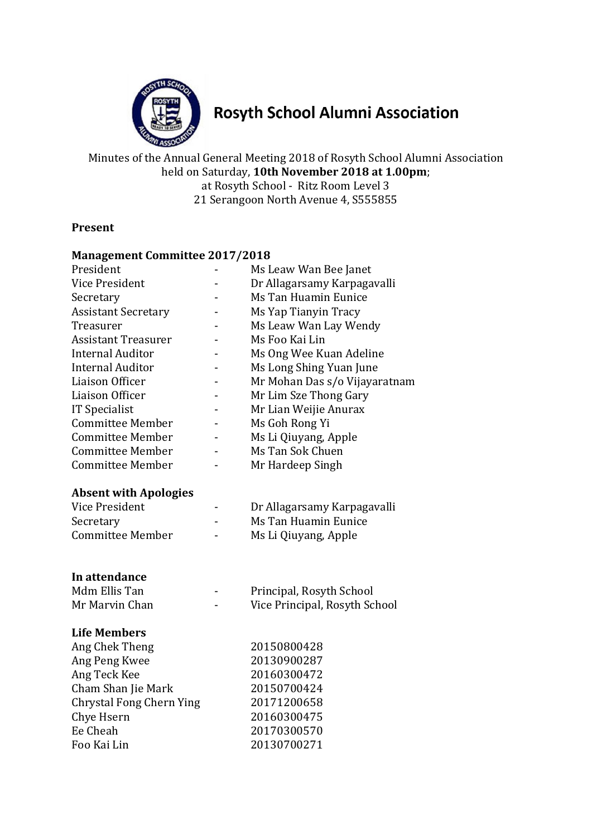

# **Rosyth School Alumni Association**

Minutes of the Annual General Meeting 2018 of Rosyth School Alumni Association held on Saturday, **10th November 2018 at 1.00pm**; at Rosyth School - Ritz Room Level 3 21 Serangoon North Avenue 4, S555855

# **Present**

#### **Management Committee 2017/2018**

| President                       | Ms Leaw Wan Bee Janet         |  |  |
|---------------------------------|-------------------------------|--|--|
| Vice President                  | Dr Allagarsamy Karpagavalli   |  |  |
| Secretary                       | Ms Tan Huamin Eunice          |  |  |
| <b>Assistant Secretary</b>      | Ms Yap Tianyin Tracy          |  |  |
| Treasurer                       | Ms Leaw Wan Lay Wendy         |  |  |
| <b>Assistant Treasurer</b>      | Ms Foo Kai Lin                |  |  |
| <b>Internal Auditor</b>         | Ms Ong Wee Kuan Adeline       |  |  |
| <b>Internal Auditor</b>         | Ms Long Shing Yuan June       |  |  |
| Liaison Officer                 | Mr Mohan Das s/o Vijayaratnam |  |  |
| Liaison Officer                 | Mr Lim Sze Thong Gary         |  |  |
| IT Specialist                   | Mr Lian Weijie Anurax         |  |  |
| <b>Committee Member</b>         | Ms Goh Rong Yi                |  |  |
| <b>Committee Member</b>         | Ms Li Qiuyang, Apple          |  |  |
| <b>Committee Member</b>         | Ms Tan Sok Chuen              |  |  |
| <b>Committee Member</b>         | Mr Hardeep Singh              |  |  |
|                                 |                               |  |  |
| <b>Absent with Apologies</b>    |                               |  |  |
| <b>Vice President</b>           | Dr Allagarsamy Karpagavalli   |  |  |
| Secretary                       | Ms Tan Huamin Eunice          |  |  |
| <b>Committee Member</b>         | Ms Li Qiuyang, Apple          |  |  |
|                                 |                               |  |  |
|                                 |                               |  |  |
| In attendance<br>Mdm Ellis Tan  |                               |  |  |
|                                 | Principal, Rosyth School      |  |  |
| Mr Marvin Chan                  | Vice Principal, Rosyth School |  |  |
| <b>Life Members</b>             |                               |  |  |
| Ang Chek Theng                  | 20150800428                   |  |  |
| Ang Peng Kwee                   | 20130900287                   |  |  |
| Ang Teck Kee                    | 20160300472                   |  |  |
| Cham Shan Jie Mark              | 20150700424                   |  |  |
| <b>Chrystal Fong Chern Ying</b> | 20171200658                   |  |  |
| Chye Hsern                      | 20160300475                   |  |  |
| Ee Cheah                        |                               |  |  |
|                                 | 20170300570                   |  |  |
| Foo Kai Lin                     | 20130700271                   |  |  |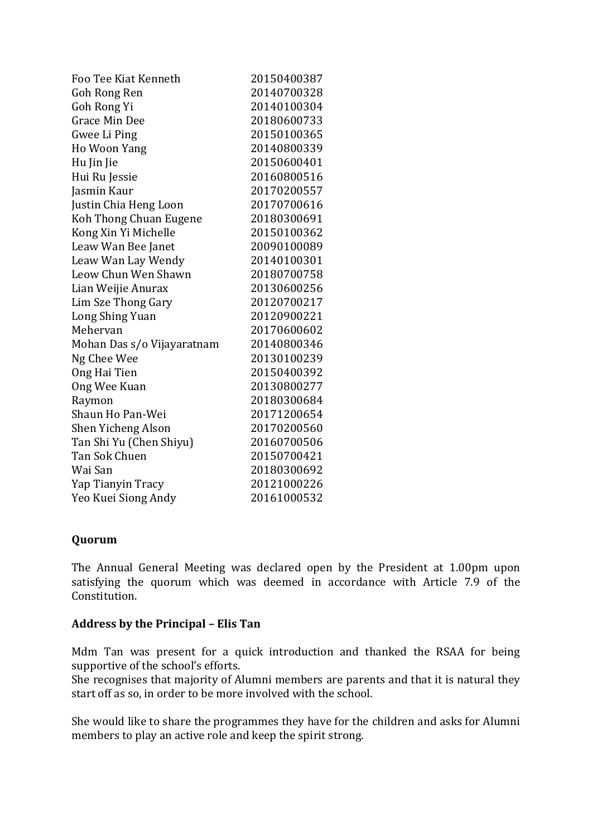| Foo Tee Kiat Kenneth       | 20150400387 |
|----------------------------|-------------|
| Goh Rong Ren               | 20140700328 |
| Goh Rong Yi                | 20140100304 |
| <b>Grace Min Dee</b>       | 20180600733 |
| Gwee Li Ping               | 20150100365 |
| Ho Woon Yang               | 20140800339 |
| Hu Jin Jie                 | 20150600401 |
| Hui Ru Jessie              | 20160800516 |
| Jasmin Kaur                | 20170200557 |
| Justin Chia Heng Loon      | 20170700616 |
| Koh Thong Chuan Eugene     | 20180300691 |
| Kong Xin Yi Michelle       | 20150100362 |
| Leaw Wan Bee Janet         | 20090100089 |
| Leaw Wan Lay Wendy         | 20140100301 |
| Leow Chun Wen Shawn        | 20180700758 |
| Lian Weijie Anurax         | 20130600256 |
| Lim Sze Thong Gary         | 20120700217 |
| Long Shing Yuan            | 20120900221 |
| Mehervan                   | 20170600602 |
| Mohan Das s/o Vijayaratnam | 20140800346 |
| Ng Chee Wee                | 20130100239 |
| Ong Hai Tien               | 20150400392 |
| Ong Wee Kuan               | 20130800277 |
| Raymon                     | 20180300684 |
| Shaun Ho Pan-Wei           | 20171200654 |
| Shen Yicheng Alson         | 20170200560 |
| Tan Shi Yu (Chen Shiyu)    | 20160700506 |
| Tan Sok Chuen              | 20150700421 |
| Wai San                    | 20180300692 |
| Yap Tianyin Tracy          | 20121000226 |
| Yeo Kuei Siong Andy        | 20161000532 |

## **Quorum**

The Annual General Meeting was declared open by the President at 1.00pm upon satisfying the quorum which was deemed in accordance with Article 7.9 of the Constitution.

#### **Address by the Principal – Elis Tan**

Mdm Tan was present for a quick introduction and thanked the RSAA for being supportive of the school's efforts.

She recognises that majority of Alumni members are parents and that it is natural they start off as so, in order to be more involved with the school.

She would like to share the programmes they have for the children and asks for Alumni members to play an active role and keep the spirit strong.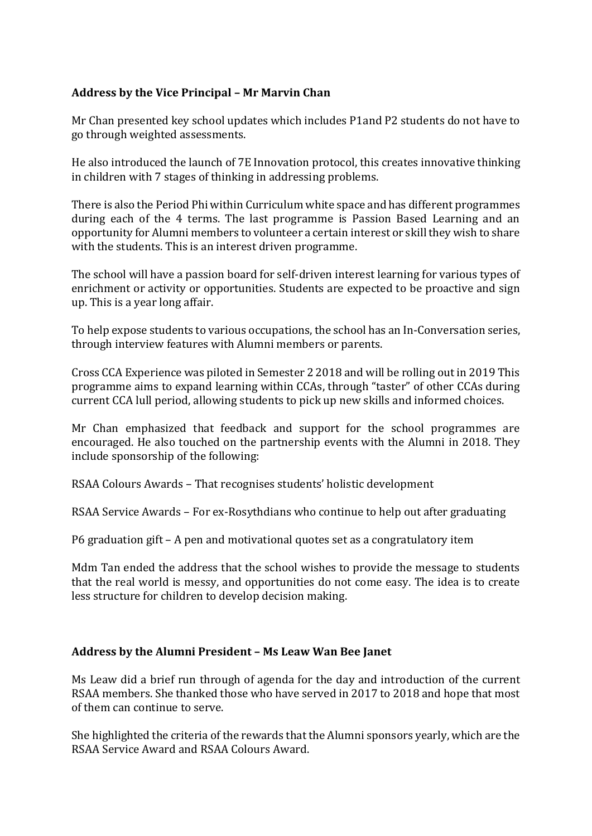## **Address by the Vice Principal – Mr Marvin Chan**

Mr Chan presented key school updates which includes P1and P2 students do not have to go through weighted assessments.

He also introduced the launch of 7E Innovation protocol, this creates innovative thinking in children with 7 stages of thinking in addressing problems.

There is also the Period Phi within Curriculum white space and has different programmes during each of the 4 terms. The last programme is Passion Based Learning and an opportunity for Alumni members to volunteer a certain interest or skill they wish to share with the students. This is an interest driven programme.

The school will have a passion board for self-driven interest learning for various types of enrichment or activity or opportunities. Students are expected to be proactive and sign up. This is a year long affair.

To help expose students to various occupations, the school has an In-Conversation series, through interview features with Alumni members or parents.

Cross CCA Experience was piloted in Semester 2 2018 and will be rolling out in 2019 This programme aims to expand learning within CCAs, through "taster" of other CCAs during current CCA lull period, allowing students to pick up new skills and informed choices.

Mr Chan emphasized that feedback and support for the school programmes are encouraged. He also touched on the partnership events with the Alumni in 2018. They include sponsorship of the following:

RSAA Colours Awards – That recognises students' holistic development

RSAA Service Awards – For ex-Rosythdians who continue to help out after graduating

P6 graduation gift – A pen and motivational quotes set as a congratulatory item

Mdm Tan ended the address that the school wishes to provide the message to students that the real world is messy, and opportunities do not come easy. The idea is to create less structure for children to develop decision making.

## **Address by the Alumni President – Ms Leaw Wan Bee Janet**

Ms Leaw did a brief run through of agenda for the day and introduction of the current RSAA members. She thanked those who have served in 2017 to 2018 and hope that most of them can continue to serve.

She highlighted the criteria of the rewards that the Alumni sponsors yearly, which are the RSAA Service Award and RSAA Colours Award.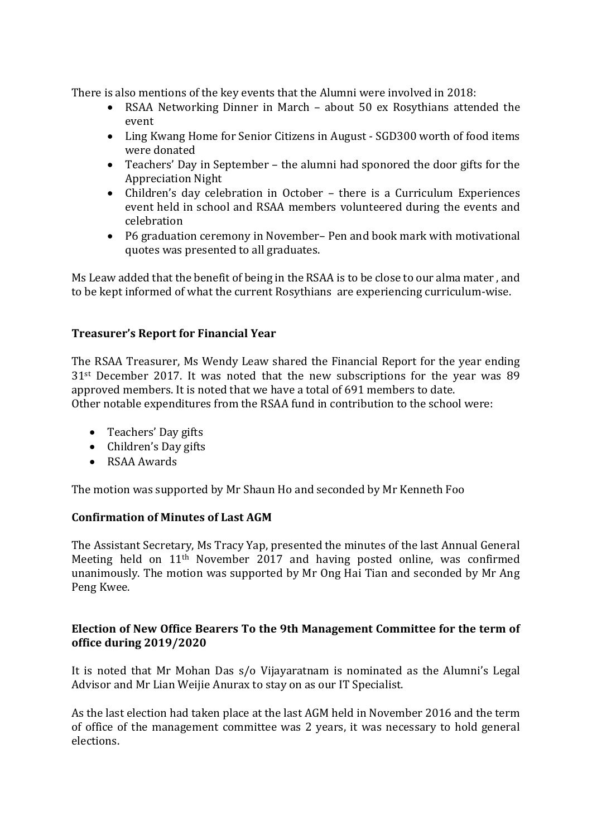There is also mentions of the key events that the Alumni were involved in 2018:

- RSAA Networking Dinner in March about 50 ex Rosythians attended the event
- Ling Kwang Home for Senior Citizens in August SGD300 worth of food items were donated
- Teachers' Day in September the alumni had sponored the door gifts for the Appreciation Night
- Children's day celebration in October there is a Curriculum Experiences event held in school and RSAA members volunteered during the events and celebration
- P6 graduation ceremony in November– Pen and book mark with motivational quotes was presented to all graduates.

Ms Leaw added that the benefit of being in the RSAA is to be close to our alma mater , and to be kept informed of what the current Rosythians are experiencing curriculum-wise.

# **Treasurer's Report for Financial Year**

The RSAA Treasurer, Ms Wendy Leaw shared the Financial Report for the year ending 31st December 2017. It was noted that the new subscriptions for the year was 89 approved members. It is noted that we have a total of 691 members to date. Other notable expenditures from the RSAA fund in contribution to the school were:

- Teachers' Day gifts
- Children's Day gifts
- RSAA Awards

The motion was supported by Mr Shaun Ho and seconded by Mr Kenneth Foo

## **Confirmation of Minutes of Last AGM**

The Assistant Secretary, Ms Tracy Yap, presented the minutes of the last Annual General Meeting held on 11th November 2017 and having posted online, was confirmed unanimously. The motion was supported by Mr Ong Hai Tian and seconded by Mr Ang Peng Kwee.

## **Election of New Office Bearers To the 9th Management Committee for the term of office during 2019/2020**

It is noted that Mr Mohan Das s/o Vijayaratnam is nominated as the Alumni's Legal Advisor and Mr Lian Weijie Anurax to stay on as our IT Specialist.

As the last election had taken place at the last AGM held in November 2016 and the term of office of the management committee was 2 years, it was necessary to hold general elections.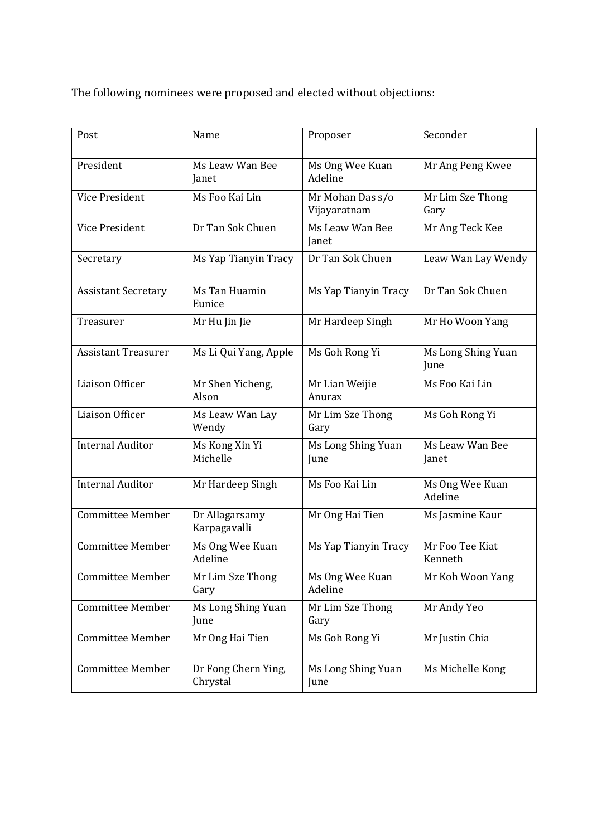The following nominees were proposed and elected without objections:

| Post                       | Name                            | Proposer                         | Seconder                   |
|----------------------------|---------------------------------|----------------------------------|----------------------------|
| President                  | Ms Leaw Wan Bee<br>Janet        | Ms Ong Wee Kuan<br>Adeline       | Mr Ang Peng Kwee           |
| Vice President             | Ms Foo Kai Lin                  | Mr Mohan Das s/o<br>Vijayaratnam | Mr Lim Sze Thong<br>Gary   |
| Vice President             | Dr Tan Sok Chuen                | Ms Leaw Wan Bee<br>Janet         | Mr Ang Teck Kee            |
| Secretary                  | Ms Yap Tianyin Tracy            | Dr Tan Sok Chuen                 | Leaw Wan Lay Wendy         |
| <b>Assistant Secretary</b> | Ms Tan Huamin<br>Eunice         | Ms Yap Tianyin Tracy             | Dr Tan Sok Chuen           |
| Treasurer                  | Mr Hu Jin Jie                   | Mr Hardeep Singh                 | Mr Ho Woon Yang            |
| <b>Assistant Treasurer</b> | Ms Li Qui Yang, Apple           | Ms Goh Rong Yi                   | Ms Long Shing Yuan<br>June |
| Liaison Officer            | Mr Shen Yicheng,<br>Alson       | Mr Lian Weijie<br>Anurax         | Ms Foo Kai Lin             |
| Liaison Officer            | Ms Leaw Wan Lay<br>Wendy        | Mr Lim Sze Thong<br>Gary         | Ms Goh Rong Yi             |
| <b>Internal Auditor</b>    | Ms Kong Xin Yi<br>Michelle      | Ms Long Shing Yuan<br>June       | Ms Leaw Wan Bee<br>Janet   |
| <b>Internal Auditor</b>    | Mr Hardeep Singh                | Ms Foo Kai Lin                   | Ms Ong Wee Kuan<br>Adeline |
| <b>Committee Member</b>    | Dr Allagarsamy<br>Karpagavalli  | Mr Ong Hai Tien                  | Ms Jasmine Kaur            |
| <b>Committee Member</b>    | Ms Ong Wee Kuan<br>Adeline      | Ms Yap Tianyin Tracy             | Mr Foo Tee Kiat<br>Kenneth |
| <b>Committee Member</b>    | Mr Lim Sze Thong<br>Gary        | Ms Ong Wee Kuan<br>Adeline       | Mr Koh Woon Yang           |
| <b>Committee Member</b>    | Ms Long Shing Yuan<br>June      | Mr Lim Sze Thong<br>Gary         | Mr Andy Yeo                |
| <b>Committee Member</b>    | Mr Ong Hai Tien                 | Ms Goh Rong Yi                   | Mr Justin Chia             |
| <b>Committee Member</b>    | Dr Fong Chern Ying,<br>Chrystal | Ms Long Shing Yuan<br>June       | Ms Michelle Kong           |